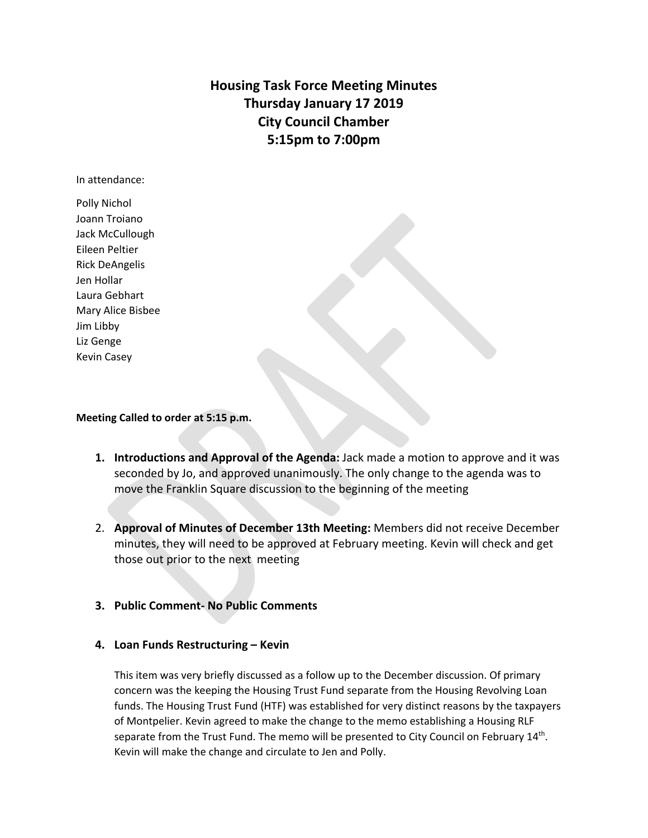**Housing Task Force Meeting Minutes Thursday January 17 2019 City Council Chamber 5:15pm to 7:00pm** 

In attendance:

Polly Nichol Joann Troiano Jack McCullough Eileen Peltier Rick DeAngelis Jen Hollar Laura Gebhart Mary Alice Bisbee Jim Libby Liz Genge Kevin Casey

#### **Meeting Called to order at 5:15 p.m.**

- **1. Introductions and Approval of the Agenda:** Jack made a motion to approve and it was seconded by Jo, and approved unanimously. The only change to the agenda was to move the Franklin Square discussion to the beginning of the meeting
- 2. **Approval of Minutes of December 13th Meeting:** Members did not receive December minutes, they will need to be approved at February meeting. Kevin will check and get those out prior to the next meeting
- **3. Public Comment‐ No Public Comments**

### **4. Loan Funds Restructuring – Kevin**

This item was very briefly discussed as a follow up to the December discussion. Of primary concern was the keeping the Housing Trust Fund separate from the Housing Revolving Loan funds. The Housing Trust Fund (HTF) was established for very distinct reasons by the taxpayers of Montpelier. Kevin agreed to make the change to the memo establishing a Housing RLF separate from the Trust Fund. The memo will be presented to City Council on February  $14<sup>th</sup>$ . Kevin will make the change and circulate to Jen and Polly.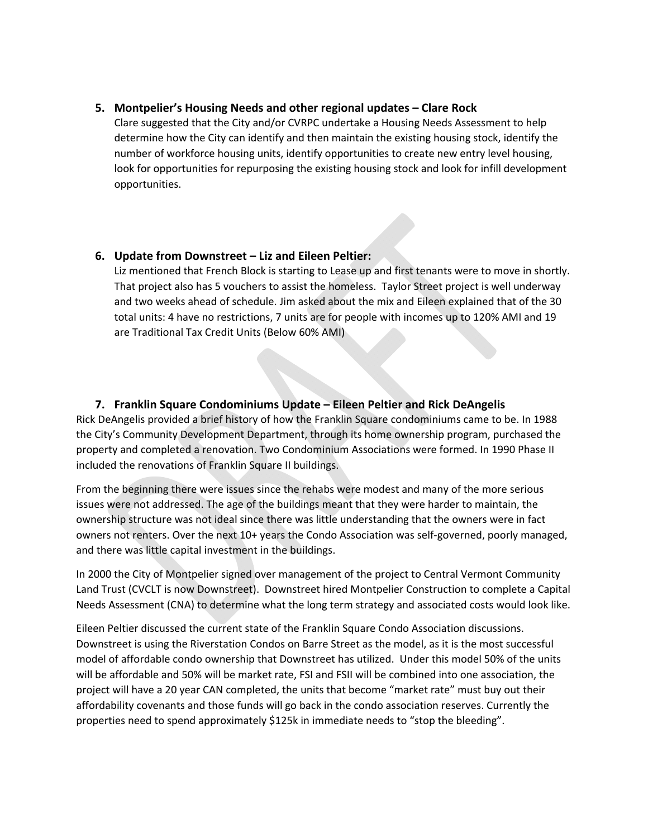## **5. Montpelier's Housing Needs and other regional updates – Clare Rock**

Clare suggested that the City and/or CVRPC undertake a Housing Needs Assessment to help determine how the City can identify and then maintain the existing housing stock, identify the number of workforce housing units, identify opportunities to create new entry level housing, look for opportunities for repurposing the existing housing stock and look for infill development opportunities.

# **6. Update from Downstreet – Liz and Eileen Peltier:**

Liz mentioned that French Block is starting to Lease up and first tenants were to move in shortly. That project also has 5 vouchers to assist the homeless. Taylor Street project is well underway and two weeks ahead of schedule. Jim asked about the mix and Eileen explained that of the 30 total units: 4 have no restrictions, 7 units are for people with incomes up to 120% AMI and 19 are Traditional Tax Credit Units (Below 60% AMI)

# **7. Franklin Square Condominiums Update – Eileen Peltier and Rick DeAngelis**

Rick DeAngelis provided a brief history of how the Franklin Square condominiums came to be. In 1988 the City's Community Development Department, through its home ownership program, purchased the property and completed a renovation. Two Condominium Associations were formed. In 1990 Phase II included the renovations of Franklin Square II buildings.

From the beginning there were issues since the rehabs were modest and many of the more serious issues were not addressed. The age of the buildings meant that they were harder to maintain, the ownership structure was not ideal since there was little understanding that the owners were in fact owners not renters. Over the next 10+ years the Condo Association was self‐governed, poorly managed, and there was little capital investment in the buildings.

In 2000 the City of Montpelier signed over management of the project to Central Vermont Community Land Trust (CVCLT is now Downstreet). Downstreet hired Montpelier Construction to complete a Capital Needs Assessment (CNA) to determine what the long term strategy and associated costs would look like.

Eileen Peltier discussed the current state of the Franklin Square Condo Association discussions. Downstreet is using the Riverstation Condos on Barre Street as the model, as it is the most successful model of affordable condo ownership that Downstreet has utilized. Under this model 50% of the units will be affordable and 50% will be market rate, FSI and FSII will be combined into one association, the project will have a 20 year CAN completed, the units that become "market rate" must buy out their affordability covenants and those funds will go back in the condo association reserves. Currently the properties need to spend approximately \$125k in immediate needs to "stop the bleeding".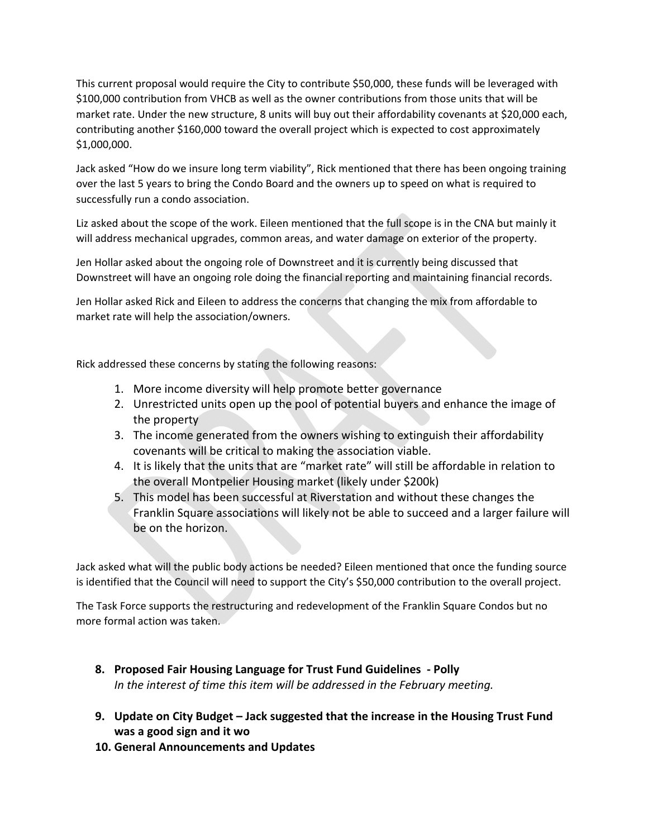This current proposal would require the City to contribute \$50,000, these funds will be leveraged with \$100,000 contribution from VHCB as well as the owner contributions from those units that will be market rate. Under the new structure, 8 units will buy out their affordability covenants at \$20,000 each, contributing another \$160,000 toward the overall project which is expected to cost approximately \$1,000,000.

Jack asked "How do we insure long term viability", Rick mentioned that there has been ongoing training over the last 5 years to bring the Condo Board and the owners up to speed on what is required to successfully run a condo association.

Liz asked about the scope of the work. Eileen mentioned that the full scope is in the CNA but mainly it will address mechanical upgrades, common areas, and water damage on exterior of the property.

Jen Hollar asked about the ongoing role of Downstreet and it is currently being discussed that Downstreet will have an ongoing role doing the financial reporting and maintaining financial records.

Jen Hollar asked Rick and Eileen to address the concerns that changing the mix from affordable to market rate will help the association/owners.

Rick addressed these concerns by stating the following reasons:

- 1. More income diversity will help promote better governance
- 2. Unrestricted units open up the pool of potential buyers and enhance the image of the property
- 3. The income generated from the owners wishing to extinguish their affordability covenants will be critical to making the association viable.
- 4. It is likely that the units that are "market rate" will still be affordable in relation to the overall Montpelier Housing market (likely under \$200k)
- 5. This model has been successful at Riverstation and without these changes the Franklin Square associations will likely not be able to succeed and a larger failure will be on the horizon.

Jack asked what will the public body actions be needed? Eileen mentioned that once the funding source is identified that the Council will need to support the City's \$50,000 contribution to the overall project.

The Task Force supports the restructuring and redevelopment of the Franklin Square Condos but no more formal action was taken.

- **8. Proposed Fair Housing Language for Trust Fund Guidelines ‐ Polly**  *In the interest of time this item will be addressed in the February meeting.*
- **9. Update on City Budget Jack suggested that the increase in the Housing Trust Fund was a good sign and it wo**
- **10. General Announcements and Updates**